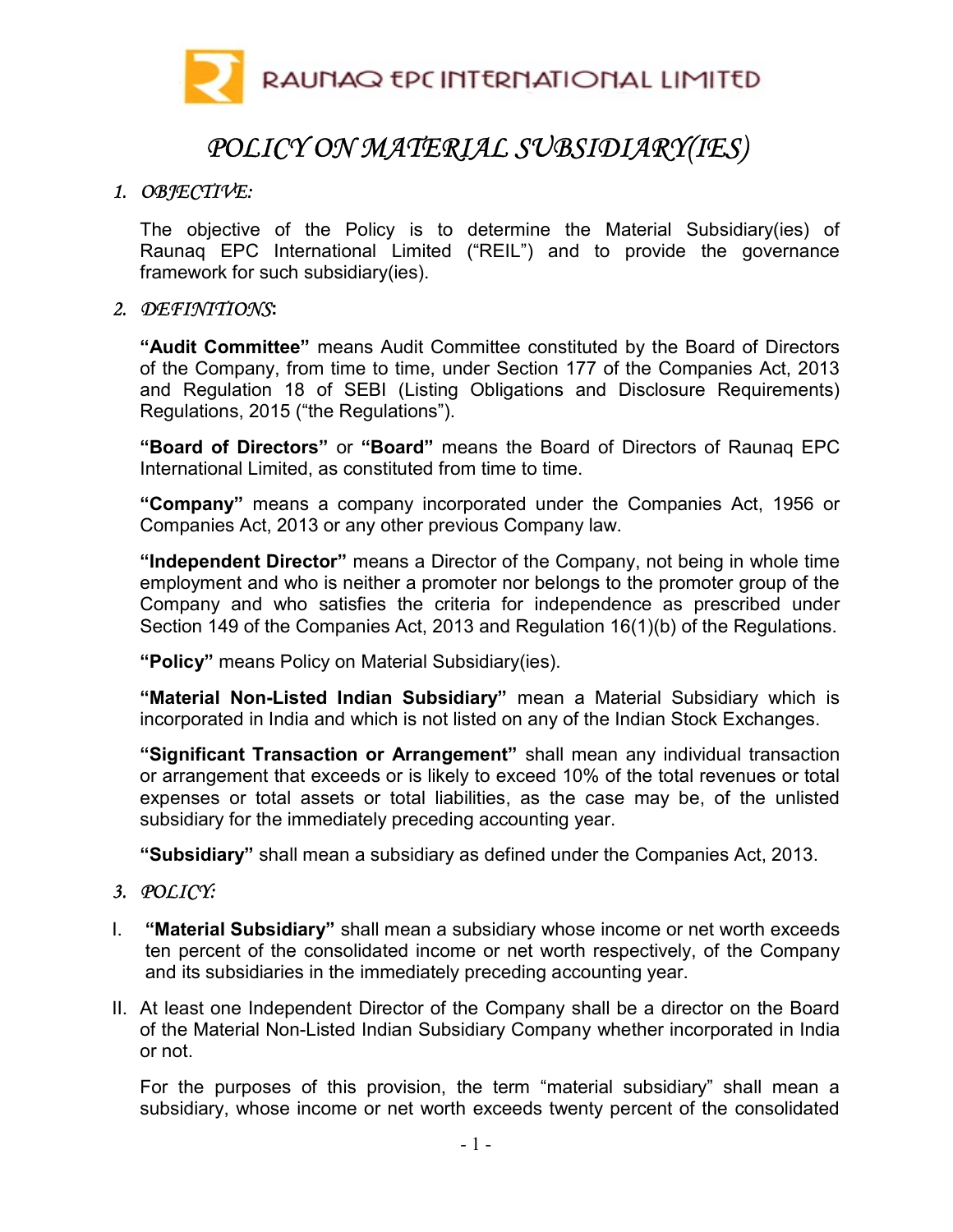

# POLICY ON MATERIAL SUBSIDIARY(IES)

## 1. OBJECTIVE:

The objective of the Policy is to determine the Material Subsidiary(ies) of Raunaq EPC International Limited ("REIL") and to provide the governance framework for such subsidiary(ies).

#### 2. DEFINITIONS:

"Audit Committee" means Audit Committee constituted by the Board of Directors of the Company, from time to time, under Section 177 of the Companies Act, 2013 and Regulation 18 of SEBI (Listing Obligations and Disclosure Requirements) Regulations, 2015 ("the Regulations").

"Board of Directors" or "Board" means the Board of Directors of Raunaq EPC International Limited, as constituted from time to time.

"Company" means a company incorporated under the Companies Act, 1956 or Companies Act, 2013 or any other previous Company law.

"Independent Director" means a Director of the Company, not being in whole time employment and who is neither a promoter nor belongs to the promoter group of the Company and who satisfies the criteria for independence as prescribed under Section 149 of the Companies Act, 2013 and Regulation 16(1)(b) of the Regulations.

"Policy" means Policy on Material Subsidiary(ies).

"Material Non-Listed Indian Subsidiary" mean a Material Subsidiary which is incorporated in India and which is not listed on any of the Indian Stock Exchanges.

"Significant Transaction or Arrangement" shall mean any individual transaction or arrangement that exceeds or is likely to exceed 10% of the total revenues or total expenses or total assets or total liabilities, as the case may be, of the unlisted subsidiary for the immediately preceding accounting year.

"Subsidiary" shall mean a subsidiary as defined under the Companies Act, 2013.

#### 3. POLICY:

- I. "Material Subsidiary" shall mean a subsidiary whose income or net worth exceeds ten percent of the consolidated income or net worth respectively, of the Company and its subsidiaries in the immediately preceding accounting year.
- II. At least one Independent Director of the Company shall be a director on the Board of the Material Non-Listed Indian Subsidiary Company whether incorporated in India or not.

For the purposes of this provision, the term "material subsidiary" shall mean a subsidiary, whose income or net worth exceeds twenty percent of the consolidated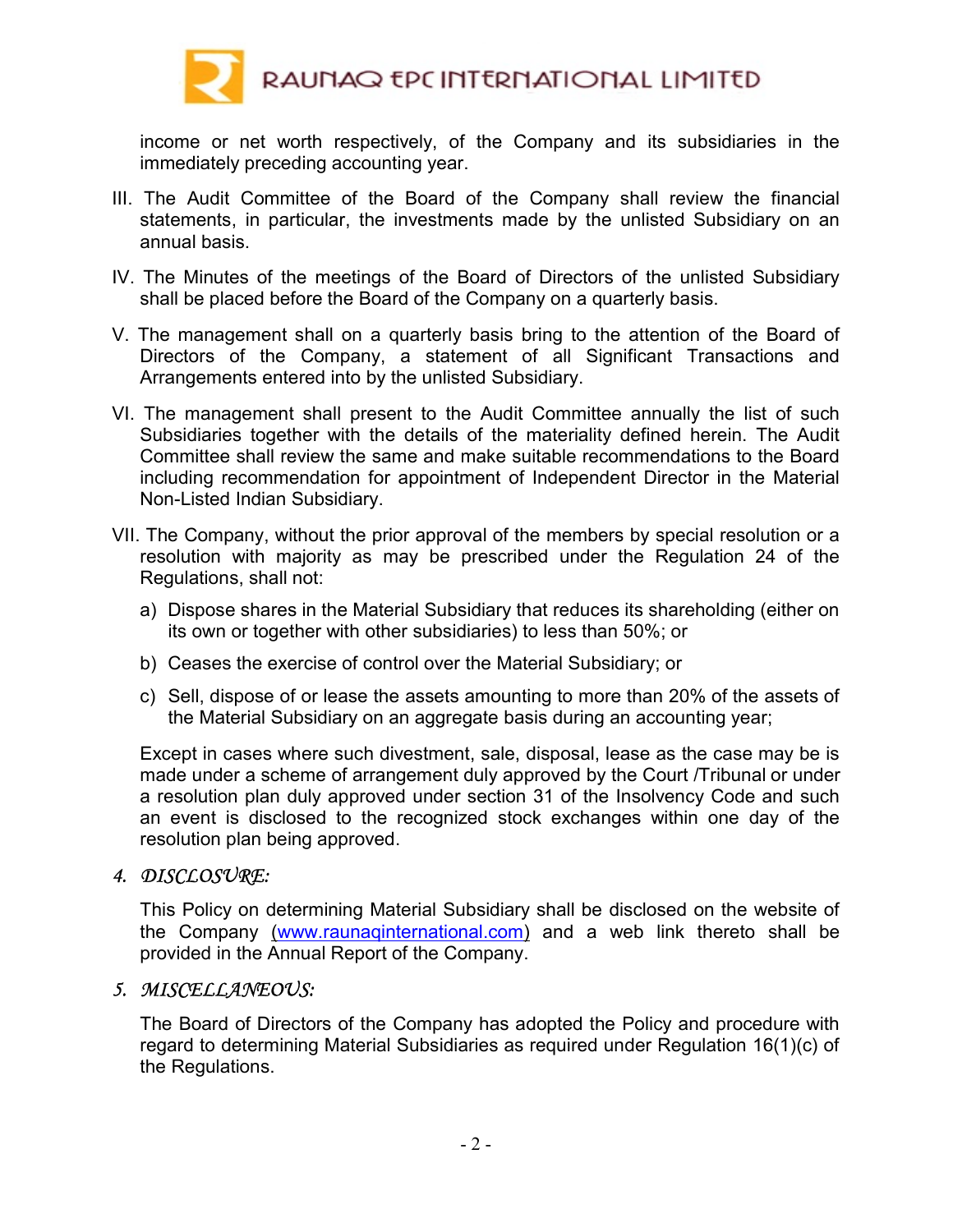

income or net worth respectively, of the Company and its subsidiaries in the immediately preceding accounting year.

- III. The Audit Committee of the Board of the Company shall review the financial statements, in particular, the investments made by the unlisted Subsidiary on an annual basis.
- IV. The Minutes of the meetings of the Board of Directors of the unlisted Subsidiary shall be placed before the Board of the Company on a quarterly basis.
- V. The management shall on a quarterly basis bring to the attention of the Board of Directors of the Company, a statement of all Significant Transactions and Arrangements entered into by the unlisted Subsidiary.
- VI. The management shall present to the Audit Committee annually the list of such Subsidiaries together with the details of the materiality defined herein. The Audit Committee shall review the same and make suitable recommendations to the Board including recommendation for appointment of Independent Director in the Material Non-Listed Indian Subsidiary.
- VII. The Company, without the prior approval of the members by special resolution or a resolution with majority as may be prescribed under the Regulation 24 of the Regulations, shall not:
	- a) Dispose shares in the Material Subsidiary that reduces its shareholding (either on its own or together with other subsidiaries) to less than 50%; or
	- b) Ceases the exercise of control over the Material Subsidiary; or
	- c) Sell, dispose of or lease the assets amounting to more than 20% of the assets of the Material Subsidiary on an aggregate basis during an accounting year;

Except in cases where such divestment, sale, disposal, lease as the case may be is made under a scheme of arrangement duly approved by the Court /Tribunal or under a resolution plan duly approved under section 31 of the Insolvency Code and such an event is disclosed to the recognized stock exchanges within one day of the resolution plan being approved.

#### 4. DISCLOSURE:

This Policy on determining Material Subsidiary shall be disclosed on the website of the Company (www.raunaqinternational.com) and a web link thereto shall be provided in the Annual Report of the Company.

# 5. MISCELLANEOUS:

The Board of Directors of the Company has adopted the Policy and procedure with regard to determining Material Subsidiaries as required under Regulation 16(1)(c) of the Regulations.